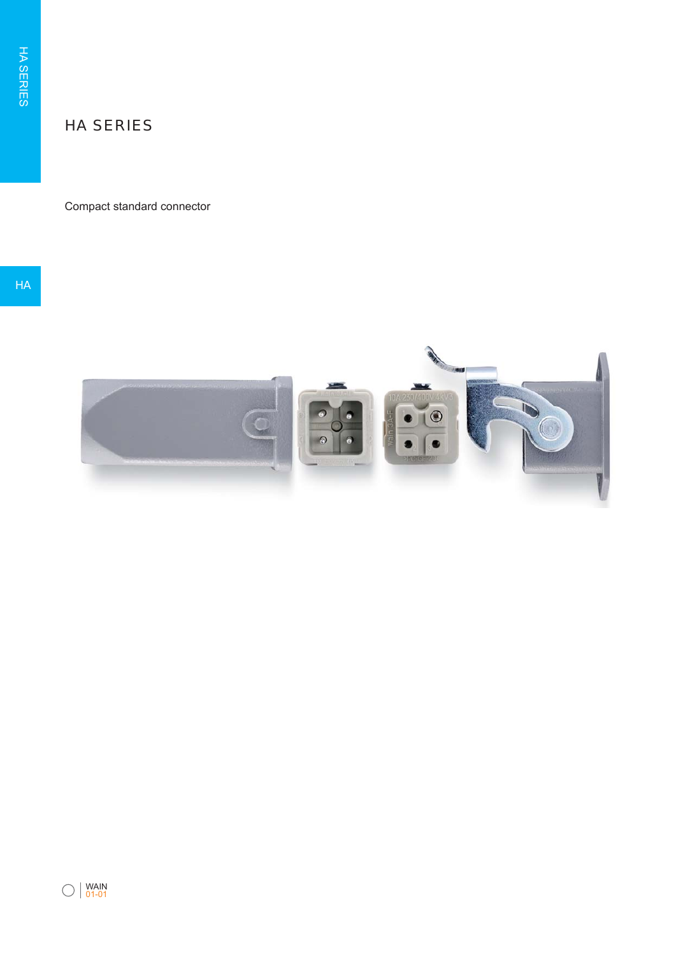# HA SERIES

## Compact standard connector

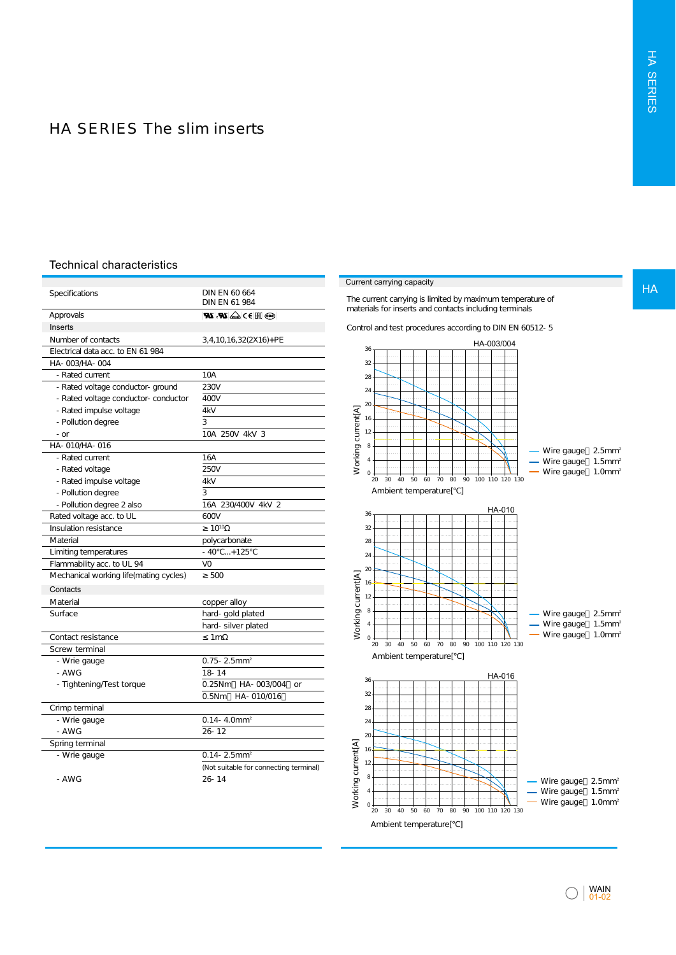## HA SERIES The slim inserts

#### Technical characteristics

| Specifications                          | DIN EN 60 664<br>DIN EN 61 984         |
|-----------------------------------------|----------------------------------------|
| Approvals                               | ∣ <b>ଭ</b> ା⊪ା∋⊃∖ଢିଧା <i>ଯ</i> ୋ       |
| Inserts                                 |                                        |
| Number of contacts                      | 3, 4, 10, 16, 32(2X16) + PE            |
| Flectrical data acc. to EN 61 984       |                                        |
| HA-003/HA-004                           |                                        |
| - Rated current                         | 10A                                    |
| - Rated voltage conductor- ground       | 230V                                   |
| - Rated voltage conductor- conductor    | 400V                                   |
| - Rated impulse voltage                 | 4kV                                    |
| - Pollution degree                      | 3                                      |
| - or                                    | 10A 250V 4kV 3                         |
| HA-010/HA-016                           |                                        |
| - Rated current                         | 16A                                    |
| - Rated voltage                         | <b>250V</b>                            |
| - Rated impulse voltage                 | 4kV                                    |
| - Pollution degree                      | 3                                      |
| - Pollution degree 2 also               | 16A 230/400V 4kV 2                     |
| Rated voltage acc. to UL                | 600V                                   |
| Insulation resistance                   | $10^{10}$                              |
| Material                                | polycarbonate                          |
| Limiting temperatures                   | $-40$ +125                             |
| Flammability acc. to UL 94              | VO                                     |
| Mechanical working life (mating cycles) | 500                                    |
| Contacts                                |                                        |
| Material                                | copper alloy                           |
| Surface                                 | hard- gold plated                      |
|                                         | hard-silver plated                     |
| Contact resistance                      | 1 <sub>m</sub>                         |
| Screw terminal                          |                                        |
| - Wrie gauge                            | $0.75 - 2.5$ mm <sup>2</sup>           |
| $- A W G$                               | 18-14                                  |
| - Tightening/Test torque                | 0.25Nm<br>HA-003/004<br>or             |
|                                         | HA-010/016<br>0.5Nm                    |
| Crimp terminal                          |                                        |
| - Wrie gauge                            | $0.14 - 4.0$ mm <sup>2</sup>           |
| - AWG                                   | $26 - 12$                              |
| Spring terminal                         |                                        |
| - Wrie gauge                            | $0.14 - 2.5$ mm <sup>2</sup>           |
|                                         | (Not suitable for connecting terminal) |
| - AWG                                   | $26 - 14$                              |
|                                         |                                        |

#### **Current carrying capacity**

The current carrying is limited by maximum temperature of materials for inserts and contacts including terminals

Control and test procedures according to DIN EN 60512-5



HA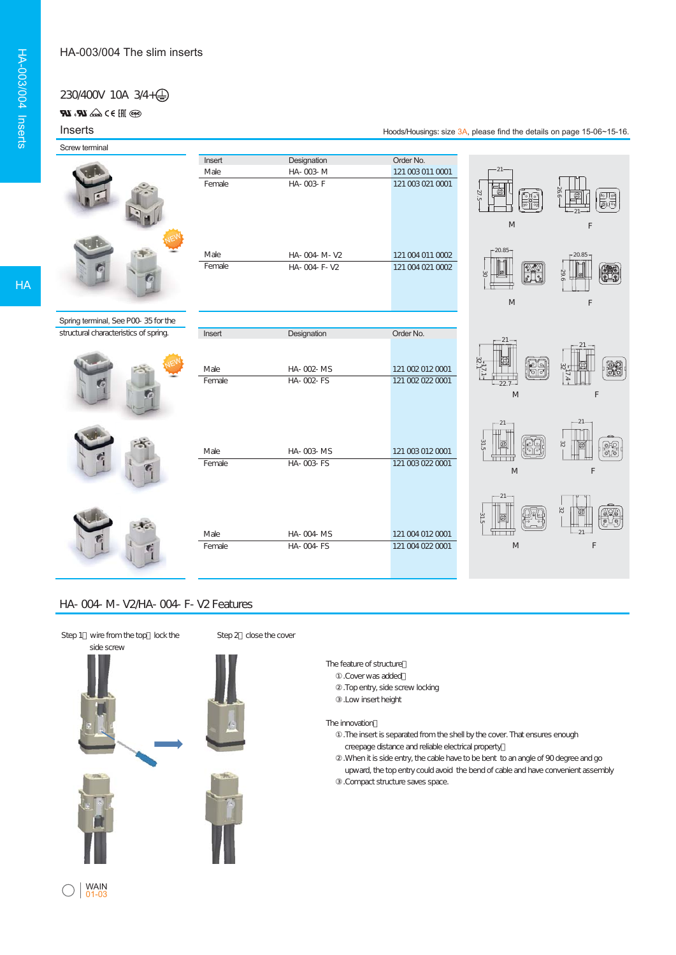## 230/400V 10A 3/4+

ை ∭∋ > கெல் **மு. மூ** 

## Inserts

Screw terminal



| Insert | Designation    | Order No.        |      |
|--------|----------------|------------------|------|
| Male   | HA-003-M       | 121 003 011 0001 |      |
| Female | $HA - O03 - F$ | 121 003 021 0001 | 27.5 |
| Male   | HA-004-M-V2    | 121 004 011 0002 |      |
| Female | HA-004-F-V2    | 121 004 021 0002 | 8    |



Hoods/Housings: size 3A, please find the details on page 15-06~15-16.

21



Spring terminal, See P00-35 for the structural characteristics of spring.







| Insert | Designation | Order No.        |
|--------|-------------|------------------|
|        |             |                  |
|        |             |                  |
| Male   | HA-002-MS   | 121 002 012 0001 |
| Female | HA-002-FS   | 121 002 022 0001 |
|        |             |                  |
|        |             |                  |
|        |             |                  |
|        |             |                  |
|        |             |                  |
|        |             |                  |
| Male   | HA-003-MS   | 121 003 012 0001 |
| Female | HA-003-FS   | 121 003 022 0001 |
|        |             |                  |
|        |             |                  |
|        |             |                  |
|        |             |                  |
|        |             |                  |
| Male   | HA-004-MS   | 121 004 012 0001 |
| Female | HA-004-FS   | 121 004 022 0001 |





## HA-004-M-V2/HA-004-F-V2 Features



Step 2 close the cover

# The feature of structure:

- ①.Cover was added; .Top entry, side screw locking
- ③.Low insert height

#### The innovation:

. The insert is separated from the shell by the cover. That ensures enough creepage distance and reliable electrical property; .When it is side entry, the cable have to be bent to an angle of 90 degree and go upward, the top entry could avoid the bend of cable and have convenient assembly .Compact structure saves space.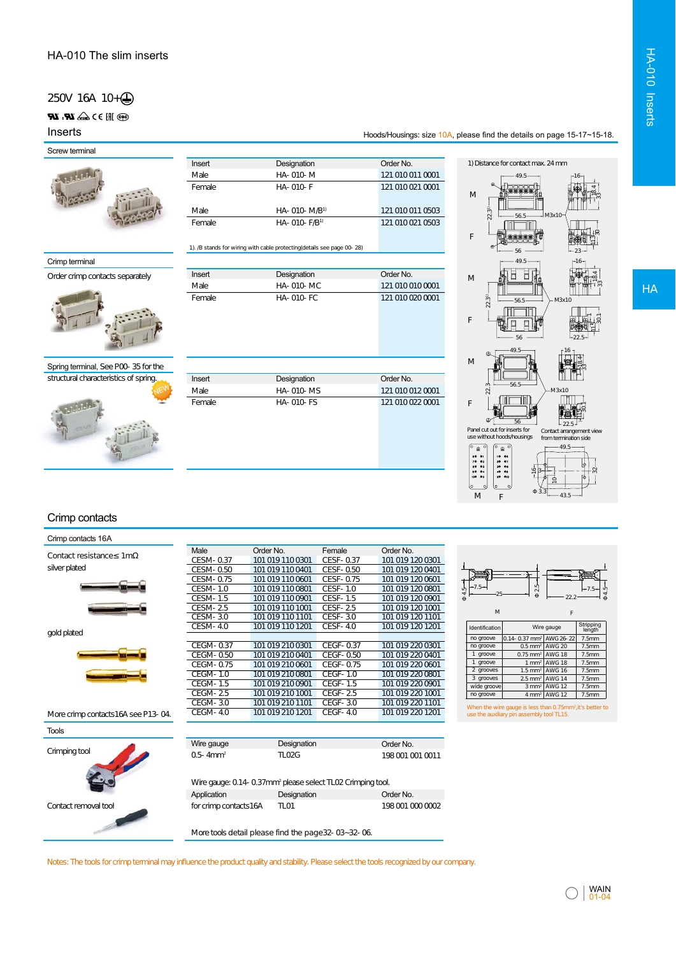## 250V 16A 10+4

## $\circledast$   $\circledast$   $\circledast$   $\bullet$   $\bullet$   $\bullet$   $\bullet$

Inserts

Screw terminal



| Insert | Designation           | Order No.        |
|--------|-----------------------|------------------|
| Male   | $HA - O1O - M$        | 121 010 011 0001 |
| Female | $HA - O1O - F$        | 121 010 021 0001 |
| Male   | $HA - O1O - M/B1$     | 121 010 011 0503 |
| Female | $HA - O1O - F/B^{-1}$ | 121 010 021 0503 |

Order No. 121 010 010 0001 121 010 020 0001

#### 1). /B stands for wiring with cable protecting(details see page 00-28)

**Designation** HA-010-MC HA-010-FC

**Insert** Male **Female** 

| Crimp terminal |  |  |  |  |
|----------------|--|--|--|--|
|                |  |  |  |  |
|                |  |  |  |  |

Order crimp contacts separately



## Spring terminal, See P00-35 for the



| Insert | Designation      | Order No.        |
|--------|------------------|------------------|
| Male   | <b>HA-010-MS</b> | 121 010 012 0001 |
| Female | <b>HA-010-FS</b> | 121 010 022 0001 |
|        |                  |                  |
|        |                  |                  |
|        |                  |                  |
|        |                  |                  |
|        |                  |                  |

#### 1) Distance for contact max. 24 mm 49.5  $-16$ **Beech**  $184 + 35$  18.4 M  $11.5 - 30 - 12.33 = 11.35 - 12.33$ Ш 22.31) M3x10 56.5 ∭∏ <u>min</u> **)**  $\frac{1}{2}$ F 56  $23$ 49.5  $-16$ F Fr  $\frac{1}{2}$ M  $\sim$ 22.31) 56.5 M3x10 F 56  $-22.5$ 49.5  $16$ M  $\frac{1}{3}84$  $\sim$  $-56.5$ .<br>م  $3x10$ F 50.<br>50. 181  $\frac{1}{22.5}$ 56 Panel cut out for inserts for use without hoods/housings Contact arrangement view from termination side  $-49.5-$ 32 16 10

Hoods/Housings: size 10A, please find the details on page 15-17~15-18.

#### Crimp contacts

|                                       | Male                      | HA- 010- MC                                                            | 1210100100001                              |                                                                                                                                                                                                   | <b>HA</b> |
|---------------------------------------|---------------------------|------------------------------------------------------------------------|--------------------------------------------|---------------------------------------------------------------------------------------------------------------------------------------------------------------------------------------------------|-----------|
|                                       | Female                    | <b>HA-010-FC</b>                                                       | 121 010 020 0001                           | $223^{11}$<br>M3x10<br>56.5                                                                                                                                                                       |           |
|                                       |                           |                                                                        |                                            | F<br>56                                                                                                                                                                                           |           |
|                                       |                           |                                                                        |                                            | 49.5<br>-16                                                                                                                                                                                       |           |
| Spring terminal, See POO-35 for the   |                           |                                                                        |                                            | M                                                                                                                                                                                                 |           |
| structural characteristics of spring. | Insert                    | Designation                                                            | Order No.                                  |                                                                                                                                                                                                   |           |
|                                       | Male                      | HA-010-MS                                                              | 121 010 012 0001                           | 56 F<br>22<br>M3x10                                                                                                                                                                               |           |
|                                       | Female                    | <b>HA-010-FS</b>                                                       | 121 010 022 0001                           | I FI I<br>F<br>つつ F<br>Panel cut out for inserts for<br>Contact arrangement view<br>use without hoods/housings<br>from termination side<br>$49.5 -$<br>$\underline{\circ}$<br>$\underline{\circ}$ |           |
|                                       |                           |                                                                        |                                            | 60 01<br>10 06<br>$70 - 02$<br>$20 - 07$<br>$80 - 03$<br>$30 - 08$<br>$90 - 04$<br>40 09                                                                                                          |           |
|                                       |                           |                                                                        |                                            | 109 95<br>50 010                                                                                                                                                                                  |           |
|                                       |                           |                                                                        |                                            | 43.5<br>M<br>F                                                                                                                                                                                    |           |
| Crimp contacts                        |                           |                                                                        |                                            |                                                                                                                                                                                                   |           |
| Crimp contacts 16A                    |                           |                                                                        |                                            |                                                                                                                                                                                                   |           |
| Contact resistance 1m                 | Male<br>CESM-0.37         | Order No.<br>Female<br>101 019 110 0301                                | Order No.<br>CESF-0.37<br>101 019 120 0301 |                                                                                                                                                                                                   |           |
| silver plated                         | CESM-0.50                 | 101 019 110 0401                                                       | CESF-0.50<br>101 019 120 0401              |                                                                                                                                                                                                   |           |
|                                       | CESM-0.75                 | 101 019 110 0601                                                       | CESF-0.75<br>101 019 120 0601              |                                                                                                                                                                                                   |           |
|                                       | <b>CESM-1.0</b>           | 101 019 110 0801                                                       | <b>CESF-1.0</b><br>101 019 120 0801        | 25                                                                                                                                                                                                |           |
|                                       | CESM-1.5                  | 101 019 110 0901                                                       | <b>CESF-1.5</b><br>101 019 120 0901        |                                                                                                                                                                                                   |           |
|                                       | CESM-25                   | 101 019 110 1001                                                       | <b>CESF-25</b><br>101 019 120 1001         | M<br>F                                                                                                                                                                                            |           |
|                                       | <b>CESM-3.0</b>           | 101 019 110 1101                                                       | <b>CESF-3.0</b><br>101 019 120 1101        |                                                                                                                                                                                                   |           |
| gold plated                           | <b>CESM-4.0</b>           | 101 019 110 1201                                                       | <b>CESF-4.0</b><br>101 019 120 1201        | Stripping<br>length<br>Identification<br>Wire gauge                                                                                                                                               |           |
|                                       | <b>CEGM-0.37</b>          | 101 019 210 0301                                                       | <b>CEGF-0.37</b><br>101 019 220 0301       | $0.14 - 0.37$ mm <sup>2</sup><br>AWG 26-22<br>no groove<br>7.5mm<br>$0.5$ mm <sup>2</sup><br><b>AWG 20</b><br>no groove<br>7.5mm                                                                  |           |
|                                       | CEGM-0.50                 | 101 019 210 0401                                                       | CEGF-0.50<br>101 019 220 0401              | 1 groove<br>$0.75$ mm <sup>2</sup><br><b>AWG 18</b><br>7.5mm                                                                                                                                      |           |
|                                       | CEGM-0.75                 | 101 019 210 0601                                                       | CEGF-0.75<br>101 019 220 0601              | 1 groove<br>$1 \text{ mm}^2$<br><b>AWG 18</b><br>7.5mm                                                                                                                                            |           |
|                                       | <b>CEGM-1.0</b>           | 101 019 210 0801                                                       | <b>CEGF-1.0</b><br>101 019 220 0801        | 2 grooves<br>$1.5$ mm <sup>2</sup><br><b>AWG 16</b><br>7.5mm<br>3 grooves<br>$2.5$ mm <sup>2</sup><br><b>AWG 14</b><br>7.5mm                                                                      |           |
|                                       | <b>CEGM-1.5</b>           | 101 019 210 0901                                                       | <b>CEGF-1.5</b><br>101 019 220 0901        | wide groove<br>$3 \text{ mm}^2$<br><b>AWG 12</b><br>7.5mm                                                                                                                                         |           |
|                                       | CEGM-25                   | 101 019 210 1001                                                       | <b>CEGF-25</b><br>101 019 220 1001         | <b>AWG 12</b><br>no groove<br>$4 \, \text{mm}^2$<br>7.5mm                                                                                                                                         |           |
|                                       | CEGM-30                   | 101 019 210 1101                                                       | <b>CEGF-3.0</b><br>101 019 220 1101        | When the wire gauge is less than 0.75mm <sup>2</sup> , it's better to                                                                                                                             |           |
| More crimp contacts16A see P13-04.    | <b>CEGM-40</b>            | 101 019 210 1201                                                       | <b>CEGF-4.0</b><br>101 019 220 1201        | use the auxiliary pin assembly tool TL15.                                                                                                                                                         |           |
| <b>Tools</b>                          |                           |                                                                        |                                            |                                                                                                                                                                                                   |           |
| Crimping tool                         | Wire gauge                | Designation                                                            | Order No.                                  |                                                                                                                                                                                                   |           |
|                                       | $0.5 - 4$ mm <sup>2</sup> | <b>TLO2G</b>                                                           | 1980010010011                              |                                                                                                                                                                                                   |           |
|                                       |                           | Wire gauge: 0.14-0.37mm <sup>2</sup> please select TL02 Crimping tool. |                                            |                                                                                                                                                                                                   |           |
|                                       | Application               | Designation                                                            | Order No.                                  |                                                                                                                                                                                                   |           |
| Contact removal too                   | for crimp contacts16A     | TLO1                                                                   | 1980010000002                              |                                                                                                                                                                                                   |           |
|                                       |                           | More tools detail please find the page 32-03-32-06.                    |                                            |                                                                                                                                                                                                   |           |

Notes: The tools for crimp terminal may influence the product quality and stability. Please select the tools recognized by our company.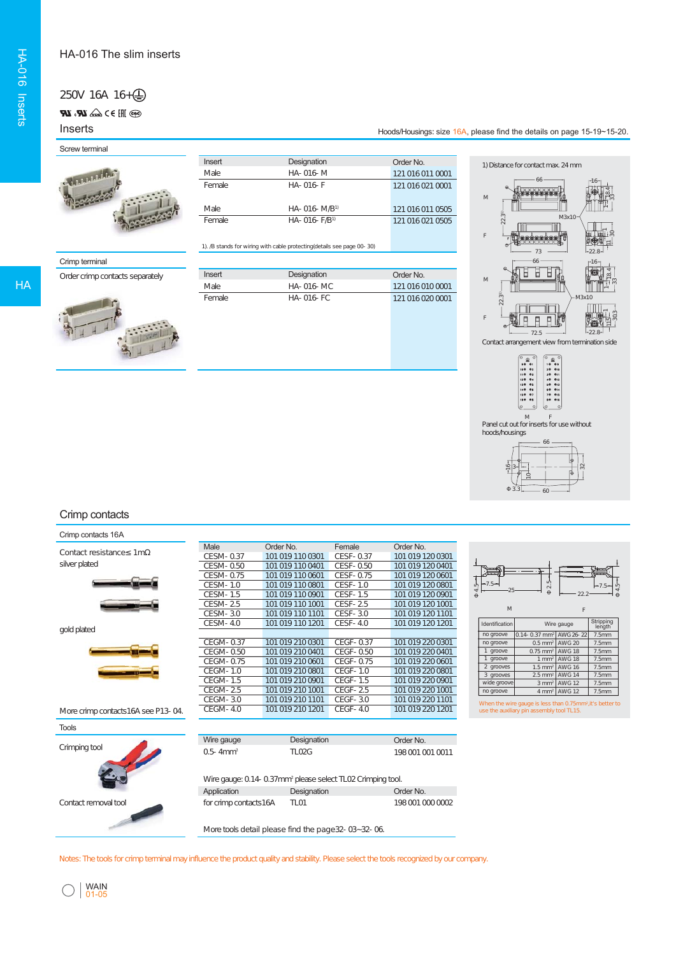#### HA-016 The slim inserts

# 250V 16A 16+

**899** III 3 D 4a**∆ LR**, **LR** 

## Inserts

## Screw terminal



| Insert | Designation       | Order No.        |
|--------|-------------------|------------------|
| Male   | HA-016-M          | 121 016 011 0001 |
| Female | $HA - O16 - F$    | 121 016 021 0001 |
| Male   | $HA - O16 - M/B1$ | 121 016 011 0505 |
| Female | $HA - O16 - F/B1$ | 121 016 021 0505 |

## Crimp terminal



| Insert | <b>Designation</b> | Order No.        |
|--------|--------------------|------------------|
| Male   | $HA - O16 - MC$    | 121.016.010.0001 |
| Female | $HA - O16 - FC$    | 121.0160200001   |









#### Crimp contacts

#### Crimp contacts 16A

|                                    |                              | 1). /B stands for wiring with cable protecting (details see page 00- 30) |                                   |                                      | 73<br>$-22.8-$                                                                                                            |
|------------------------------------|------------------------------|--------------------------------------------------------------------------|-----------------------------------|--------------------------------------|---------------------------------------------------------------------------------------------------------------------------|
| Crimp terminal                     |                              |                                                                          |                                   |                                      | 66<br>-16                                                                                                                 |
| Order crimp contacts separately    | Insert                       | Designation                                                              |                                   | Order No.                            | Ï<br>Ы<br>□                                                                                                               |
|                                    | Male                         | HA-016-MC                                                                |                                   | 121 016 010 0001                     | $\mathsf{M}% _{T}=\mathsf{M}_{T}\!\left( a,b\right) ,\ \mathsf{M}_{T}=\mathsf{M}_{T}\!\left( a,b\right) ,$                |
|                                    | Female                       | HA-016-FC                                                                |                                   | 121 016 020 0001                     | $223^{n}$<br>M3x10                                                                                                        |
|                                    |                              |                                                                          |                                   |                                      |                                                                                                                           |
|                                    |                              |                                                                          |                                   |                                      | F<br>口<br>口                                                                                                               |
|                                    |                              |                                                                          |                                   |                                      | 72.5                                                                                                                      |
|                                    |                              |                                                                          |                                   |                                      | Contact arrangement view from termination side                                                                            |
|                                    |                              |                                                                          |                                   |                                      |                                                                                                                           |
|                                    |                              |                                                                          |                                   |                                      | ۹,<br>ໍ≗໌                                                                                                                 |
|                                    |                              |                                                                          |                                   |                                      | 20 010<br>100 02<br>110 03<br>$30 - 011$<br>$120 - 04$<br>$40 - 012$                                                      |
|                                    |                              |                                                                          |                                   |                                      | 13005<br>50013<br>$140 - 06$<br>$60 - 014$                                                                                |
|                                    |                              |                                                                          |                                   |                                      | 15007<br>70 015<br>80 016<br>16 <sup>o</sup>                                                                              |
|                                    |                              |                                                                          |                                   |                                      | M                                                                                                                         |
|                                    |                              |                                                                          |                                   |                                      | Panel cut out for inserts for use without<br>hoods/housings                                                               |
|                                    |                              |                                                                          |                                   |                                      | 66                                                                                                                        |
|                                    |                              |                                                                          |                                   |                                      |                                                                                                                           |
|                                    |                              |                                                                          |                                   |                                      | Ŧ                                                                                                                         |
|                                    |                              |                                                                          |                                   |                                      | C                                                                                                                         |
|                                    |                              |                                                                          |                                   |                                      | 60                                                                                                                        |
|                                    |                              |                                                                          |                                   |                                      |                                                                                                                           |
| Crimp contacts                     |                              |                                                                          |                                   |                                      |                                                                                                                           |
|                                    |                              |                                                                          |                                   |                                      |                                                                                                                           |
| Crimp contacts 16A                 |                              |                                                                          |                                   |                                      |                                                                                                                           |
| Contact resistance 1m              | Male<br>CESM-0.37            | Order No.<br>101 019 110 0301                                            | Female<br>CESF-0.37               | Order No.<br>101 019 120 0301        |                                                                                                                           |
| silver plated                      | CESM-0.50                    | 101 019 110 0401                                                         | CESF-0.50                         | 101 019 120 0401                     |                                                                                                                           |
|                                    | CESM-0.75                    | 101 019 110 0601                                                         | CESF-0.75                         | 101 019 120 0601                     |                                                                                                                           |
|                                    | CESM-1.0                     | 101 019 110 0801                                                         | <b>CESF-1.0</b>                   | 101 019 120 0801                     | 7.5                                                                                                                       |
|                                    | CESM-1.5                     | 101 019 110 0901                                                         | CESF-1.5                          | 101 019 120 0901                     |                                                                                                                           |
|                                    | <b>CESM-25</b><br>CESM-3.0   | 101 019 110 1001<br>101 019 110 1101                                     | <b>CESF-25</b><br><b>CESF-3.0</b> | 101 0191201001<br>101 019 120 1101   | M<br>F                                                                                                                    |
|                                    | <b>CESM-4.0</b>              | 101 019 110 1201                                                         | <b>CESF-4.0</b>                   | 101 019 120 1201                     | Stripping<br>length<br>Identification<br>Wire gauge                                                                       |
| gold plated                        |                              |                                                                          |                                   |                                      | no groove<br>0.14-0.37 mm <sup>2</sup> AWG 26-22<br>7.5mm                                                                 |
|                                    | <b>CEGM-0.37</b>             | 101 019 210 0301                                                         | CEGF-0.37                         | 101 019 220 0301                     | no groove<br>$0.5$ mm <sup>2</sup><br>AWG 20<br>7.5mm                                                                     |
|                                    | CEGM-0.50                    | 101 019 210 0401                                                         | CEGF-0.50                         | 101 019 220 0401                     | 1 groove<br>$0.75$ mm <sup>2</sup><br><b>AWG 18</b><br>7.5mm<br>1 groove<br><b>AWG 18</b><br>$1$ mm <sup>2</sup><br>7.5mm |
|                                    | CEGM-0.75<br><b>CEGM-1.0</b> | 101 019 210 0601<br>101 019 210 0801                                     | CEGF-0.75<br><b>CEGF-1.0</b>      | 101 019 220 0601<br>101 019 220 0801 | 2 grooves<br>$1.5$ mm <sup>2</sup><br><b>AWG 16</b><br>7.5mm                                                              |
|                                    | <b>CEGM-1.5</b>              | 101 019 210 0901                                                         | <b>CEGF-1.5</b>                   | 101 019 220 0901                     | 3 grooves<br>$2.5$ mm <sup>2</sup><br><b>AWG 14</b><br>7.5mm<br>wide groove<br><b>AWG 12</b>                              |
|                                    | CEGM-25                      | 101 019 210 1001                                                         | <b>CEGF-25</b>                    | 101 019 220 1001                     | $3 \text{ mm}^2$<br>7.5mm<br>4 mm <sup>2</sup> AWG 12<br>no groove<br>7.5mm                                               |
|                                    | CEGM-30                      | 101 019 210 1101                                                         | $CEGF-3.0$                        | 101 019 220 1101                     | When the wire gauge is less than 0.75mm <sup>2</sup> , it's better to                                                     |
| More crimp contacts16A see P13-04. | <b>CEGM-40</b>               | 101 019 210 1201                                                         | <b>CEGF-4.0</b>                   | 101 019 220 1201                     | use the auxiliary pin assembly tool TL15.                                                                                 |
| <b>Tools</b>                       |                              |                                                                          |                                   |                                      |                                                                                                                           |
|                                    | Wire gauge                   | Designation                                                              |                                   | Order No.                            |                                                                                                                           |
| Crimping tool                      | $0.5 - 4mm2$                 | <b>TLO2G</b>                                                             |                                   | 1980010010011                        |                                                                                                                           |
|                                    |                              |                                                                          |                                   |                                      |                                                                                                                           |
|                                    |                              | Wire gauge: 0.14- 0.37mm <sup>2</sup> please select TL02 Crimping tool.  |                                   |                                      |                                                                                                                           |
|                                    | Application                  | Designation                                                              |                                   |                                      |                                                                                                                           |
|                                    |                              |                                                                          |                                   | Order No.                            |                                                                                                                           |
| Contact removal tool               | for crimp contacts16A        | <b>TLO1</b>                                                              |                                   | 1980010000002                        |                                                                                                                           |
|                                    |                              |                                                                          |                                   |                                      |                                                                                                                           |
|                                    |                              | More tools detail please find the page 32-03~32-06.                      |                                   |                                      |                                                                                                                           |

Notes: The tools for crimp terminal may influence the product quality and stability. Please select the tools recognized by our company.



 $\bigcap$ 

WAIN 01-05